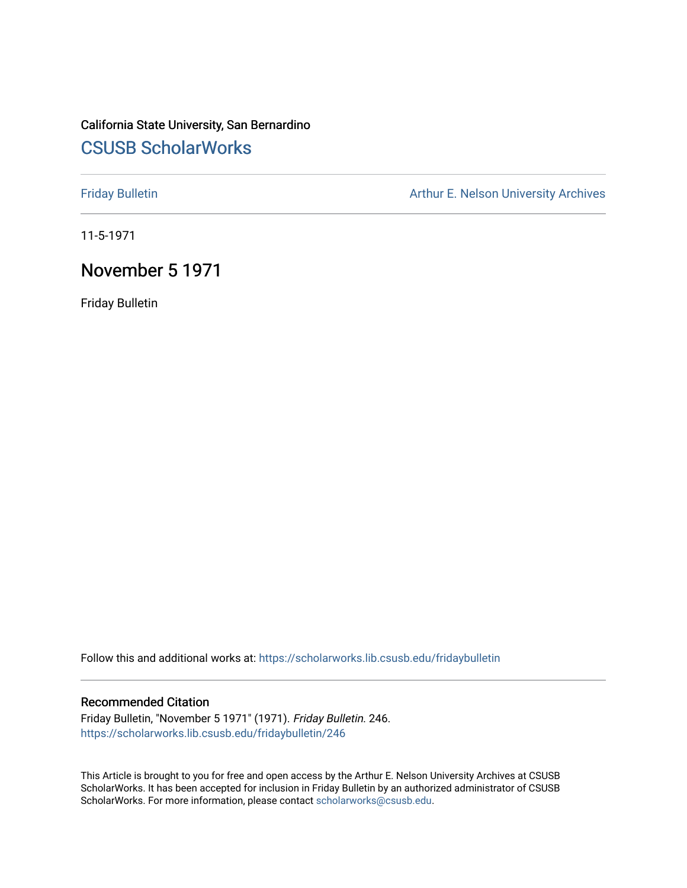# California State University, San Bernardino [CSUSB ScholarWorks](https://scholarworks.lib.csusb.edu/)

[Friday Bulletin](https://scholarworks.lib.csusb.edu/fridaybulletin) **Arthur E. Nelson University Archives** Arthur E. Nelson University Archives

11-5-1971

## November 5 1971

Friday Bulletin

Follow this and additional works at: [https://scholarworks.lib.csusb.edu/fridaybulletin](https://scholarworks.lib.csusb.edu/fridaybulletin?utm_source=scholarworks.lib.csusb.edu%2Ffridaybulletin%2F246&utm_medium=PDF&utm_campaign=PDFCoverPages)

### Recommended Citation

Friday Bulletin, "November 5 1971" (1971). Friday Bulletin. 246. [https://scholarworks.lib.csusb.edu/fridaybulletin/246](https://scholarworks.lib.csusb.edu/fridaybulletin/246?utm_source=scholarworks.lib.csusb.edu%2Ffridaybulletin%2F246&utm_medium=PDF&utm_campaign=PDFCoverPages)

This Article is brought to you for free and open access by the Arthur E. Nelson University Archives at CSUSB ScholarWorks. It has been accepted for inclusion in Friday Bulletin by an authorized administrator of CSUSB ScholarWorks. For more information, please contact [scholarworks@csusb.edu.](mailto:scholarworks@csusb.edu)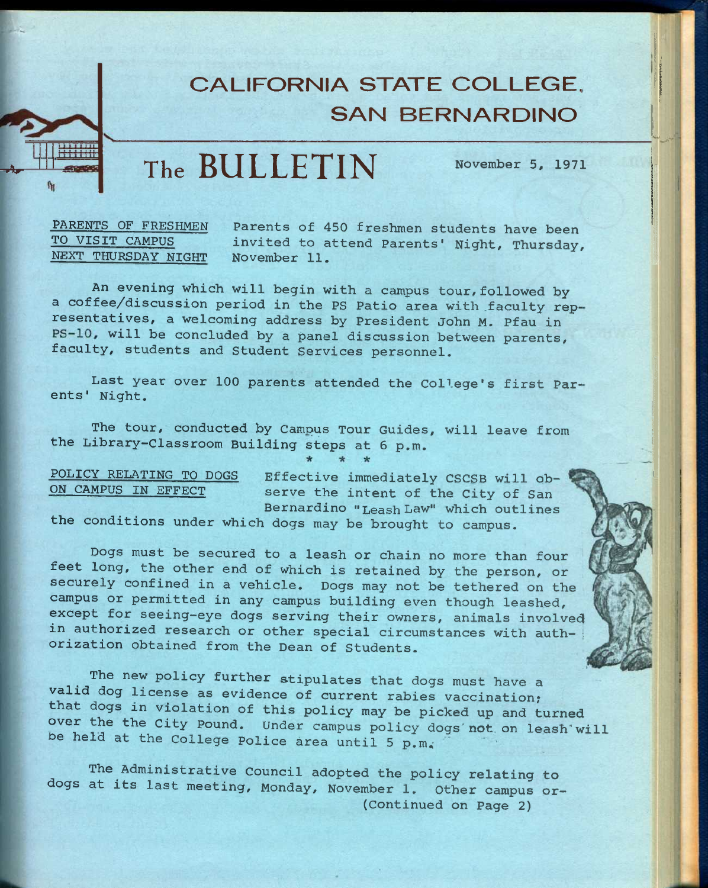# **CALIFORNIA STATE COLLEGE, SAN BERNARDINO**

**The BULLETIN** November *5,* <sup>1971</sup>

## PARENTS OF FRESHMEN TO VISIT CAMPUS NEXT THURSDAY NIGHT

*w^kir~* 

Parents of 450 freshmen students have been invited to attend Parents' Night, Thursday, November 11.

An evening which will begin with a campus tour, followed by a coffee/discussion period in the PS Patio area with faculty representatives, a welcoming address by President John M. Pfau in PS-10, will be concluded by a panel discussion between parents, faculty, students and Student Services personnel.

Last year over 100 parents attended the College's first Parents' Night.

The tour, conducted by Campus Tour Guides, will leave from the Library-Classroom Building steps at 6 p.m.

POLICY RELATING TO DOGS ON CAMPUS IN EFFECT

Effective immediately CSCSB will observe the intent of the City of San Bernardino **"Leash** Law" which outlines

the conditions under which dogs may be brought to campus.

Dogs must be secured to a leash or chain no more than four feet long, the other end of which is retained by the person, or securely confined in a vehicle. Dogs may not be tethered on the campus or permitted in any campus building even though leashed, except for seeing-eye dogs serving their owners, animals involved in authorized research or other special circumstances with authorization obtained from the Dean of Students.

The new policy further stipulates that dogs must have a valid dog license as evidence of current rabies vaccination; that dogs in violation of this policy may be picked up and turned over the the city Pound. Under campus policy dogs'not on leash'will be held at the College Police area until 5 p.m.

The Administrative Council adopted the policy relating to dogs at its last meeting, Monday, November 1. Other campus or— (Continued on Page 2)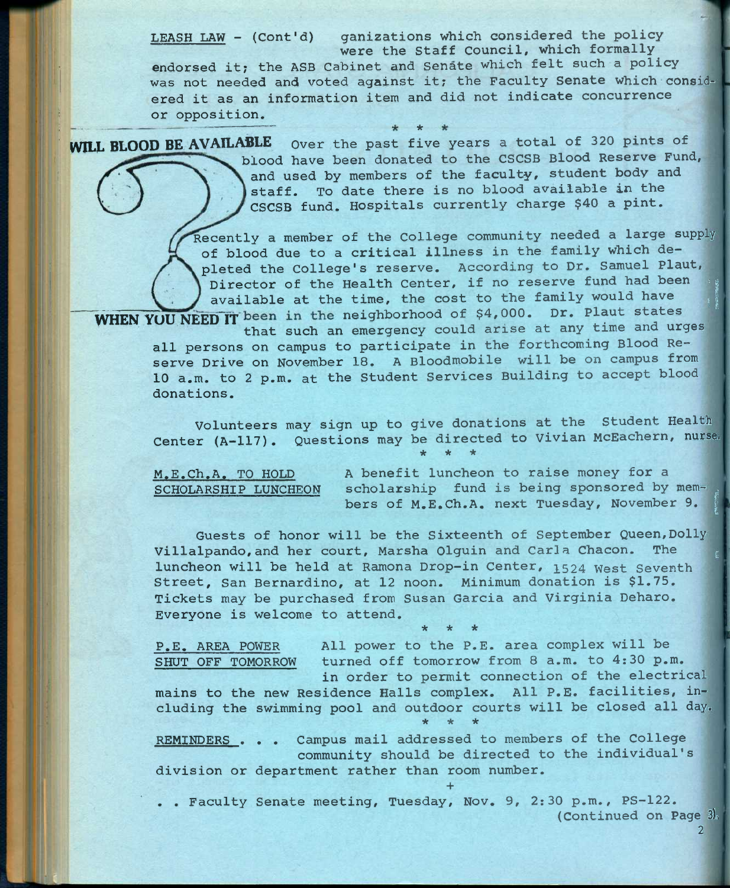LEASH LAW - (Cont'd) ganizations which considered the policy were the Staff Council, which formally

endorsed it; the ASB Cabinet and Senate which felt such a policy was not needed and voted against it; the Faculty Senate which considered it as an information item and did not indicate concurrence or opposition.

**\*** 

WILL BLOOD BE AVAILABLE over the past five years a total of 320 pints of blood have been donated to the CSCSB Blood Reserve Fund, and used by members of the faculty, student body and staff. To date there is no blood available in the CSCSB fund. Hospitals currently charge \$40 a pint.

> Recently a member of the College community needed a large supply of blood due to a critical illness in the family which depleted the College's reserve. According to Dr. Samuel Plaut, cently a member of the College community needed a large supply<br>f blood due to a critical illness in the family which de-<br>leted the College's reserve. According to Dr. Samuel Plaut,<br>Director of the Health Center, if no rese Director of the Health Center, if no reserve fund had been available at the time, the cost to the family would have

WHEN YUU NEED IT been in the neighborhood of \$4,000. Dr. Plaut states that such an emergency could arise at any time and urges

all persons on campus to participate in the forthcoming Blood Reserve Drive on November 18. A Bloodmobile will be on campus from 10 a.m. to 2 p.m. at the Student Services Building to accept blood donations.

Volunteers may sign up to give donations at the Student Health Volunteers may sign up to give domations as one of the postulations of the Center (A-117). Questions may be directed to Vivian McEachern, nurse. **\* \* \*** 

M.E.Ch.A. TO HOLD A benefit luncheon to raise money for a SCHOLARSHIP LUNCHEON scholarship fund is being sponsored by mem-<br>bers of M.E.Ch.A. next Tuesday, November 9. ons may be directed to Vivian McEachern, hurse.<br>
\* \* \* \*<br>
A benefit luncheon to raise money for a<br>
scholarship fund is being sponsored by mem-<br>
bers of M.E.Ch.A. next Tuesday, November 9.

Guests of honor will be the Sixteenth of September Queen, Dolly Villalpando, and her court, Marsha Olguin and Carla Chacon. The luncheon will be held at Ramona Drop-in Center, 1524 west Seventh Street, San Bernardino, at 12 noon. Minimum donation is \$1.75. Tickets may be purchased from Susan Garcia and Virginia Deharo. Everyone is welcome to attend. **\* \* \*** 

P.E. AREA POWER All power to the P.E. area complex will be SHUT OFF TOMORROW turned off tomorrow from 8 a.m. to 4:30 p.m. in order to permit connection of the electrical

mains to the new Residence Halls complex. All P.E. facilities, including the swimming pool and outdoor courts will be closed all day. **\* \* \*** 

REMINDERS . . . Campus mail addressed to members of the College community should be directed to the individual's division or department rather than room number.

. . Faculty Senate meeting, Tuesday, Nov. 9, 2:30 p.m., PS-122. (Continued on Page 3)

**+** 

**2**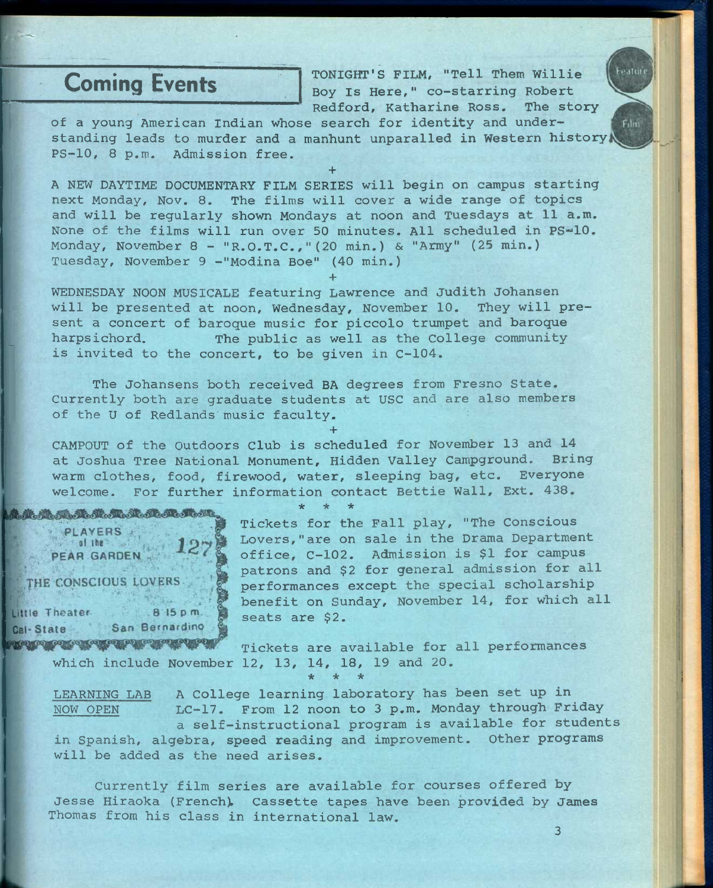Coming Events TONIGHT'S FILM, "Tell Them Willie Boy Is Here," co-starring Robert Redford, Katharine Ross. The story eaturi

Film

of a young American Indian whose search for identity and understanding leads to murder and a manhunt unparalled in Western history PS-10, 8 p.m. Admission free.

**+**  A NEW DAYTIME DOCUMENTARY FILM SERIES will begin on campus starting next Monday, Nov. 8. The films will cover a wide range of topics and will be regularly shown Mondays at noon and Tuesdays at 11 a.m. None of the films will run over 50 minutes. All scheduled in PS=10. Monday, November 8 - "R.O.T.C.,"(20 min.) & "Army" (25 min.) Tuesday, November 9 -"Modina Boe" (40 min.)

**+** 

WEDNESDAY NOON MUSICALE featuring Lawrence and Judith Johansen will be presented at noon, Wednesday, November 10. They will present a concert of baroque music for piccolo trumpet and baroque harpsichord. The public as well as the College community is invited to the concert, to be given in C-104.

The Johansens both received BA degrees from Fresno State. Currently both are graduate students at USC and are also members of the U of Redlands music faculty.

CAMPOUT of the Outdoors Club is scheduled for November 13 and 14 at Joshua Tree National Monument, Hidden Valley Campground. Bring warm clothes, food, firewood, water, sleeping bag, etc. Everyone welcome. For further information contact Bettie Wall, Ext. 438.

**\* \* \*** 

**+** 

あまああああままあまままままま PLAYERS . al the set PEAR GARDEN THE CONSCIOUS LOVERS

Little Theater  $815 p.m.$ Cal-State San Bernardino **Maritan Controllegio di Maritani, Ale** 

Tickets for the Fall play, "The Conscious Lovers,"are on sale in the Drama Department office, C-102. Admission is \$1 for campus patrons and \$2 for general admission for all performances except the special scholarship benefit on Sunday, November 14, for which all seats are \$2.

Tickets are available for all performances which include November 12, 13, 14, 18, 19 and 20. **\* \* \*** 

LEARNING LAB A College learning laboratory has been set up in LC-17. From 12 noon to 3 p.m. Monday through Friday a self-instructional program is available for students in Spanish, algebra, speed reading and improvement. Other programs will be added as the need arises. NOW OPEN

Currently film series are available for courses offered by Jesse Hiraoka (French). Cassette tapes have been provided by James Thomas from his class in international law.